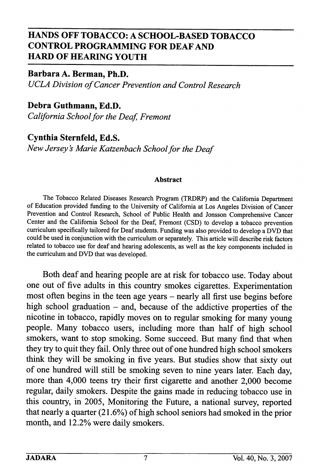## HANDS OFF TOBACCO: A SCHOOL-BASED TOBACCO CONTROL PROGRAMMING FOR DEAF AND HARD OF HEARING YOUTH

Barbara A. Berman, Ph.D. UCLA Division of Cancer Prevention and Control Research

Debra Guthmann, Ed.D. California School for the Deaf, Fremont

Cynthia Sternfeld, Ed.S. New Jersey's Marie Katzenbach School for the Deaf

## Abstract

The Tobacco Related Diseases Research Program (TRDRP) and the Califomia Department of Education provided funding to the University of Califomia at Los Angeles Division of Cancer Prevention and Control Research, School of Public Health and Jonsson Comprehensive Cancer Center and the Califomia School for the Deaf, Fremont (CSD) to develop a tobacco prevention curriculum specifically tailored for Deaf students. Funding was also provided to develop a DVD that could be used in conjunction with the curriculum or separately. This article will describe risk factors related to tobacco use for deaf and hearing adolescents, as well as the key components included in the curriculum and DVD that was developed.

Both deaf and hearing people are at risk for tobacco use. Today about one out of five adults in this country smokes cigarettes. Experimentation most often begins in the teen age years - nearly all first use begins before high school graduation  $-$  and, because of the addictive properties of the nicotine in tobacco, rapidly moves on to regular smoking for many young people. Many tobacco users, including more than half of high school smokers, want to stop smoking. Some succeed. But many find that when they try to quit they fail. Only three out of one hundred high school smokers think they will be smoking in five years. But studies show that sixty out of one himdred will still be smoking seven to nine years later. Each day, more than 4,000 teens try their first cigarette and another 2,000 become regular, daily smokers. Despite the gains made in reducing tobacco use in this country, in 2005, Monitoring the Future, a national survey, reported that nearly a quarter (21.6%) of high school seniors had smoked in the prior month, and 12.2% were daily smokers.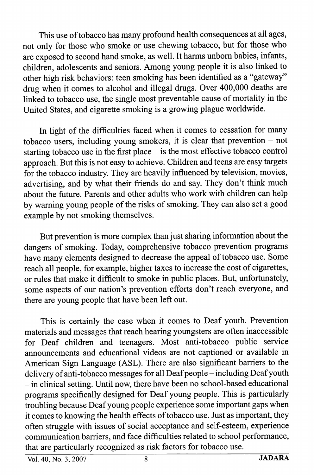This use of tobacco has many profound health consequences at all ages, not only for those who smoke or use chewing tobacco, but for those who are exposed to second hand smoke, as well. It harms unborn babies, infants, children, adolescents and seniors. Among young people it is also linked to other high risk behaviors: teen smoking has been identified as a "gateway" drug when it comes to alcohol and illegal drugs. Over 400,000 deaths are linked to tobacco use, the single most preventable cause of mortality in the United States, and cigarette smoking is a growing plague worldwide.

In light of the difficulties faced when it comes to cessation for many tobacco users, including young smokers, it is clear that prevention  $-$  not starting tobacco use in the first place - is the most effective tobacco control approach. But this is not easy to achieve. Children and teens are easy targets for the tobacco industry. They are heavily influenced by television, movies, advertising, and by what their friends do and say. They don't think much about the future. Parents and other adults who work with children can help by waming young people of the risks of smoking. They can also set a good example by not smoking themselves.

But prevention is more complex than just sharing information about the dangers of smoking. Today, comprehensive tobacco prevention programs have many elements designed to decrease the appeal of tobacco use. Some reach all people, for example, higher taxes to increase the cost of cigarettes, or rules that make it difficult to smoke in public places. But, unfortunately, some aspects of our nation's prevention efforts don't reach everyone, and there are young people that have been left out.

This is certainly the case when it comes to Deaf youth. Prevention materials and messages that reach hearing youngsters are often inaccessible for Deaf children and teenagers. Most anti-tobacco public service announcements and educational videos are not captioned or available in American Sign Language (AST). There are also significant barriers to the delivery of anti-tobacco messages for all Deaf people - including Deaf youth - in clinical setting. Until now, there have been no school-based educational programs specifically designed for Deaf young people. This is particularly troubling because Deaf young people experience some important gaps when it comes to knowing the health effects of tobacco use. Just as important, they often struggle with issues of social acceptance and self-esteem, experience communication barriers, and face difficulties related to school performance, that are particularly recognized as risk factors for tobacco use.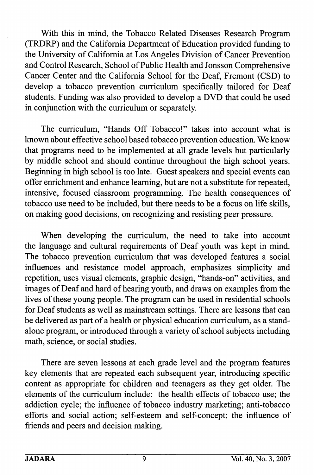With this in mind, the Tobacco Related Diseases Research Program (TRDRP) and the California Department of Education provided funding to the University of California at Los Angeles Division of Cancer Prevention and Control Research, School of Public Health and Jonsson Comprehensive Cancer Center and the California School for the Deaf, Fremont (CSD) to develop a tobacco prevention curriculum specifically tailored for Deaf students. Funding was also provided to develop a DVD that could be used in conjunction with the curriculum or separately.

The curriculum, "Hands Off Tobacco!" takes into account what is known about effective school based tobacco prevention education. We know that programs need to be implemented at all grade levels but particularly by middle school and should continue throughout the high school years. Beginning in high school is too late. Guest speakers and special events can offer enrichment and enhance learning, but are not a substitute for repeated, intensive, focused classroom programming. The health consequences of tobacco use need to be included, but there needs to be a focus on life skills, on making good decisions, on recognizing and resisting peer pressure.

When developing the curriculum, the need to take into account the language and cultural requirements of Deaf youth was kept in mind. The tobacco prevention curriculum that was developed features a social influences and resistance model approach, emphasizes simplicity and repetition, uses visual elements, graphic design, "hands-on" activities, and images of Deaf and hard of hearing youth, and draws on examples from the lives of these young people. The program can be used in residential schools for Deaf students as well as mainstream settings. There are lessons that can be delivered as part of a health or physical education curriculum, as a stand alone program, or introduced through a variety of school subjects including math, science, or social studies.

There are seven lessons at each grade level and the program features key elements that are repeated each subsequent year, introducing specific content as appropriate for children and teenagers as they get older. The elements of the curriculum include: the health effects of tobacco use; the addiction cycle; the influence of tobacco industry marketing; anti-tobacco efforts and social action; self-esteem and self-concept; the influence of friends and peers and decision making.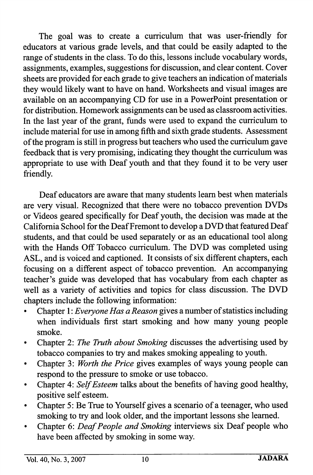The goal was to create a curriculum that was user-friendly for educators at various grade levels, and that could be easily adapted to the range of students in the class. To do this, lessons include vocabulary words, assignments, examples, suggestions for discussion, and clear content. Cover sheets are provided for each grade to give teachers an indication of materials they would likely want to have on hand. Worksheets and visual images are available on an accompanying CD for use in a PowerPoint presentation or for distribution. Homework assignments can be used as classroom activities. In the last year of the grant, funds were used to expand the curriculum to include material for use in among fifth and sixth grade students. Assessment of the program is still in progress but teachers who used the curriculum gave feedback that is very promising, indicating they thought the curriculum was appropriate to use with Deaf youth and that they found it to be very user friendly.

Deaf educators are aware that many students leam best when materials are very visual. Recognized that there were no tobacco prevention DVDs or Videos geared specifically for Deaf youth, the decision was made at the Califomia School for the Deaf Fremont to develop a DVD that featured Deaf students, and that could be used separately or as an educational tool along with the Hands Off Tobacco curriculum. The DVD was completed using ASL, and is voiced and captioned. It consists of six different chapters, each focusing on a different aspect of tobacco prevention. An accompanying teacher's guide was developed that has vocabulary from each chapter as well as a variety of activities and topics for class discussion. The DVD chapters include the following information:

- Chapter I: Everyone Has a Reason gives a number of statistics including when individuals first start smoking and how many young people smoke.
- Chapter 2: The Truth about Smoking discusses the advertising used by  $\bullet$ tobacco companies to try and makes smoking appealing to youth.
- Chapter 3: Worth the Price gives examples of ways young people can respond to the pressure to smoke or use tobacco.
- Chapter 4: Self Esteem talks about the benefits of having good healthy,  $\bullet$ positive self esteem.
- Chapter 5: Be True to Yourself gives a scenario of a teenager, who used smoking to try and look older, and the important lessons she learned.
- Chapter 6: Deaf People and Smoking interviews six Deaf people who have been affected by smoking in some way.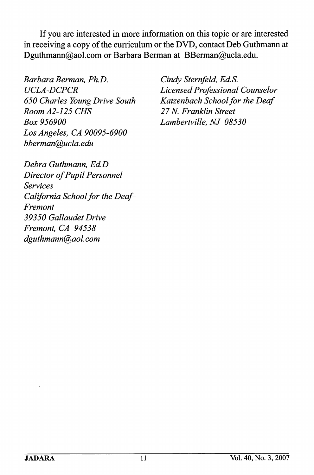If you are interested in more information on this topic or are interested in receiving a copy of the curriculum or the DVD, contact Deb Guthmann at Dguthmann@aol.com or Barbara Berman at BBerman@ucla.edu.

Barbara Berman, Ph.D. UCLA-DCPCR 650 Charles Young Drive South Room A2-125 CMS Box 956900 Los Angeles, CA 90095-6900 bberman@ucla. edu

Cindy Sternfeld, Ed.S. Licensed Professional Counselor Katzenbach School for the Deaf 27 N. Franklin Street Lambertville, NJ 08530

Debra Guthmann, Ed.D Director of Pupil Personnel Services California School for the Deaf-Fremont 39350 Gallaudet Drive Fremont, CA 94538 dguthmann@aol. com